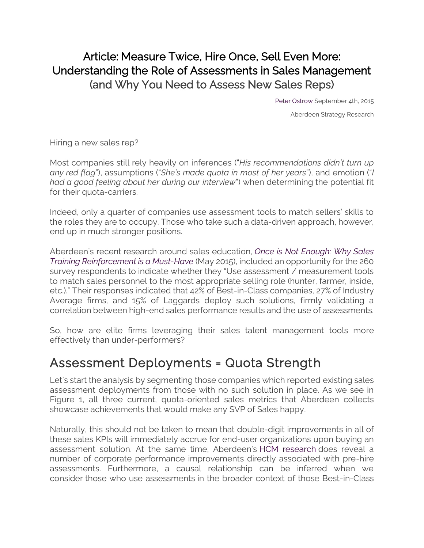### Article: Measure Twice, Hire Once, Sell Even More: Understanding the Role of Assessments in Sales Management (and Why You Need to Assess New Sales Reps)

[Peter Ostrow](https://www.aberdeen.com/author/postrow/) September 4th, 2015

Aberdeen Strategy Research

Hiring a new sales rep?

Most companies still rely heavily on inferences ("*His recommendations didn't turn up any red flag*"), assumptions ("*She's made quota in most of her years*"), and emotion ("*I had a good feeling about her during our interview*") when determining the potential fit for their quota-carriers.

Indeed, only a quarter of companies use assessment tools to match sellers' skills to the roles they are to occupy. Those who take such a data-driven approach, however, end up in much stronger positions.

Aberdeen's recent research around sales education, *[Once is Not Enough: Why Sales](https://aberdeen.com/research/10476/10476-rr-post-training-reinforcement/content.aspx)  [Training Reinforcement is a Must-Have](https://aberdeen.com/research/10476/10476-rr-post-training-reinforcement/content.aspx)* (May 2015), included an opportunity for the 260 survey respondents to indicate whether they "Use assessment / measurement tools to match sales personnel to the most appropriate selling role (hunter, farmer, inside, etc.)." Their responses indicated that 42% of Best-in-Class companies, 27% of Industry Average firms, and 15% of Laggards deploy such solutions, firmly validating a correlation between high-end sales performance results and the use of assessments.

So, how are elite firms leveraging their sales talent management tools more effectively than under-performers?

## Assessment Deployments = Quota Strength

Let's start the analysis by segmenting those companies which reported existing sales assessment deployments from those with no such solution in place. As we see in Figure 1, all three current, quota-oriented sales metrics that Aberdeen collects showcase achievements that would make any SVP of Sales happy.

Naturally, this should not be taken to mean that double-digit improvements in all of these sales KPIs will immediately accrue for end-user organizations upon buying an assessment solution. At the same time, Aberdeen's [HCM research](https://aberdeen.com/_aberdeen/human-capital/HCMA/practice.aspx) does reveal a number of corporate performance improvements directly associated with pre-hire assessments. Furthermore, a causal relationship can be inferred when we consider those who use assessments in the broader context of those Best-in-Class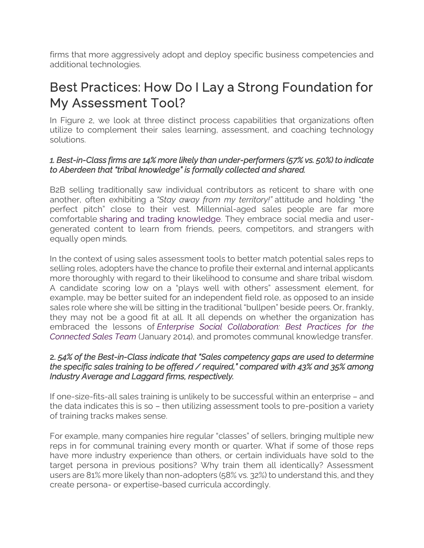firms that more aggressively adopt and deploy specific business competencies and additional technologies.

# Best Practices: How Do I Lay a Strong Foundation for My Assessment Tool?

In Figure 2, we look at three distinct process capabilities that organizations often utilize to complement their sales learning, assessment, and coaching technology solutions.

#### *1. Best-in-Class firms are 14% more likely than under-performers (57% vs. 50%) to indicate to Aberdeen that "tribal knowledge" is formally collected and shared.*

B2B selling traditionally saw individual contributors as reticent to share with one another, often exhibiting a *"Stay away from my territory!"* attitude and holding "the perfect pitch" close to their vest. Millennial-aged sales people are far more comfortable [sharing and trading knowledge.](https://aberdeen1.wpengine.com/Aberdeen-Library/8729/RB-enterprise-social-collaboration.aspx) They embrace social media and usergenerated content to learn from friends, peers, competitors, and strangers with equally open minds.

In the context of using sales assessment tools to better match potential sales reps to selling roles, adopters have the chance to profile their external and internal applicants more thoroughly with regard to their likelihood to consume and share tribal wisdom. A candidate scoring low on a "plays well with others" assessment element, for example, may be better suited for an independent field role, as opposed to an inside sales role where she will be sitting in the traditional "bullpen" beside peers. Or, frankly, they may not be a good fit at all. It all depends on whether the organization has embraced the lessons of *[Enterprise Social Collaboration: Best Practices for the](https://aberdeen.com/Aberdeen-Library/8762/RB-enterprise-social-collaboration.aspx)  [Connected Sales Team](https://aberdeen.com/Aberdeen-Library/8762/RB-enterprise-social-collaboration.aspx)* (January 2014), and promotes communal knowledge transfer.

#### 2. *54% of the Best-in-Class indicate that "Sales competency gaps are used to determine the specific sales training to be offered / required," compared with 43% and 35% among Industry Average and Laggard firms, respectively.*

If one-size-fits-all sales training is unlikely to be successful within an enterprise – and the data indicates this is so – then utilizing assessment tools to pre-position a variety of training tracks makes sense.

For example, many companies hire regular "classes" of sellers, bringing multiple new reps in for communal training every month or quarter. What if some of those reps have more industry experience than others, or certain individuals have sold to the target persona in previous positions? Why train them all identically? Assessment users are 81% more likely than non-adopters (58% vs. 32%) to understand this, and they create persona- or expertise-based curricula accordingly.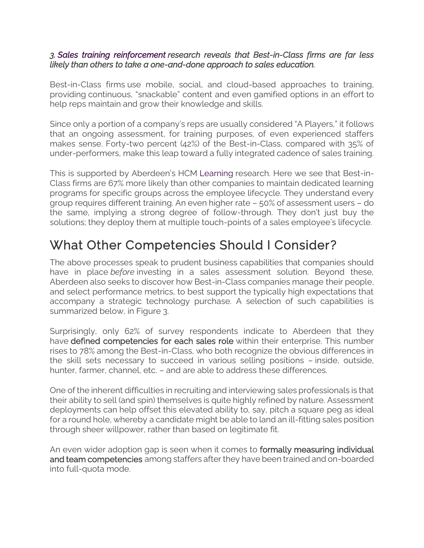#### *3. [Sales training reinforcement](https://aberdeen.com/research/10476/10476-rr-post-training-reinforcement/content.aspx) research reveals that Best-in-Class firms are far less likely than others to take a one-and-done approach to sales education.*

Best-in-Class firms use mobile, social, and cloud-based approaches to training, providing continuous, "snackable" content and even gamified options in an effort to help reps maintain and grow their knowledge and skills.

Since only a portion of a company's reps are usually considered "A Players," it follows that an ongoing assessment, for training purposes, of even experienced staffers makes sense. Forty-two percent (42%) of the Best-in-Class, compared with 35% of under-performers, make this leap toward a fully integrated cadence of sales training.

This is supported by Aberdeen's HCM [Learning](https://aberdeen1.wpengine.com/research/8668/ra-learning-skill-gaps/content.aspx) research. Here we see that Best-in-Class firms are 67% more likely than other companies to maintain dedicated learning programs for specific groups across the employee lifecycle. They understand every group requires different training. An even higher rate – 50% of assessment users – do the same, implying a strong degree of follow-through. They don't just buy the solutions; they deploy them at multiple touch-points of a sales employee's lifecycle.

# What Other Competencies Should I Consider?

The above processes speak to prudent business capabilities that companies should have in place *before* investing in a sales assessment solution. Beyond these, Aberdeen also seeks to discover how Best-in-Class companies manage their people, and select performance metrics, to best support the typically high expectations that accompany a strategic technology purchase. A selection of such capabilities is summarized below, in Figure 3.

Surprisingly, only 62% of survey respondents indicate to Aberdeen that they have defined competencies for each sales role within their enterprise. This number rises to 78% among the Best-in-Class, who both recognize the obvious differences in the skill sets necessary to succeed in various selling positions – inside, outside, hunter, farmer, channel, etc. – and are able to address these differences.

One of the inherent difficulties in recruiting and interviewing sales professionals is that their ability to sell (and spin) themselves is quite highly refined by nature. Assessment deployments can help offset this elevated ability to, say, pitch a square peg as ideal for a round hole, whereby a candidate might be able to land an ill-fitting sales position through sheer willpower, rather than based on legitimate fit.

An even wider adoption gap is seen when it comes to **formally measuring individual** and team competencies among staffers after they have been trained and on-boarded into full-quota mode.